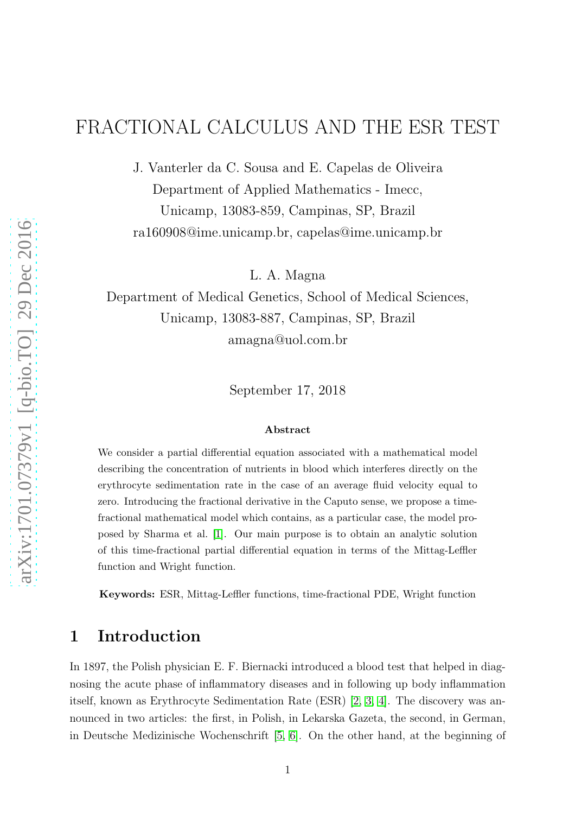# FRACTIONAL CALCULUS AND THE ESR TEST

J. Vanterler da C. Sousa and E. Capelas de Oliveira Department of Applied Mathematics - Imecc, Unicamp, 13083-859, Campinas, SP, Brazil ra160908@ime.unicamp.br, capelas@ime.unicamp.br

L. A. Magna

Department of Medical Genetics, School of Medical Sciences, Unicamp, 13083-887, Campinas, SP, Brazil amagna@uol.com.br

September 17, 2018

#### Abstract

We consider a partial differential equation associated with a mathematical model describing the concentration of nutrients in blood which interferes directly on the erythrocyte sedimentation rate in the case of an average fluid velocity equal to zero. Introducing the fractional derivative in the Caputo sense, we propose a timefractional mathematical model which contains, as a particular case, the model proposed by Sharma et al. [\[1\]](#page-15-0). Our main purpose is to obtain an analytic solution of this time-fractional partial differential equation in terms of the Mittag-Leffler function and Wright function.

Keywords: ESR, Mittag-Leffler functions, time-fractional PDE, Wright function

#### 1 Introduction

In 1897, the Polish physician E. F. Biernacki introduced a blood test that helped in diagnosing the acute phase of inflammatory diseases and in following up body inflammation itself, known as Erythrocyte Sedimentation Rate (ESR) [\[2,](#page-15-1) [3,](#page-15-2) [4\]](#page-15-3). The discovery was announced in two articles: the first, in Polish, in Lekarska Gazeta, the second, in German, in Deutsche Medizinische Wochenschrift [\[5,](#page-15-4) [6\]](#page-15-5). On the other hand, at the beginning of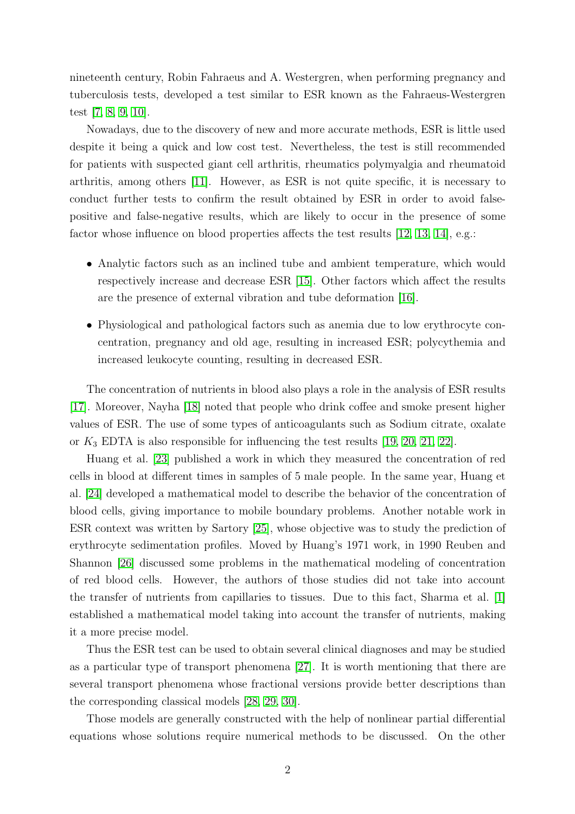nineteenth century, Robin Fahraeus and A. Westergren, when performing pregnancy and tuberculosis tests, developed a test similar to ESR known as the Fahraeus-Westergren test [\[7,](#page-15-6) [8,](#page-15-7) [9,](#page-16-0) [10\]](#page-16-1).

Nowadays, due to the discovery of new and more accurate methods, ESR is little used despite it being a quick and low cost test. Nevertheless, the test is still recommended for patients with suspected giant cell arthritis, rheumatics polymyalgia and rheumatoid arthritis, among others [\[11\]](#page-16-2). However, as ESR is not quite specific, it is necessary to conduct further tests to confirm the result obtained by ESR in order to avoid falsepositive and false-negative results, which are likely to occur in the presence of some factor whose influence on blood properties affects the test results [\[12,](#page-16-3) [13,](#page-16-4) [14\]](#page-16-5), e.g.:

- Analytic factors such as an inclined tube and ambient temperature, which would respectively increase and decrease ESR [\[15\]](#page-16-6). Other factors which affect the results are the presence of external vibration and tube deformation [\[16\]](#page-16-7).
- Physiological and pathological factors such as anemia due to low erythrocyte concentration, pregnancy and old age, resulting in increased ESR; polycythemia and increased leukocyte counting, resulting in decreased ESR.

The concentration of nutrients in blood also plays a role in the analysis of ESR results [\[17\]](#page-16-8). Moreover, Nayha [\[18\]](#page-16-9) noted that people who drink coffee and smoke present higher values of ESR. The use of some types of anticoagulants such as Sodium citrate, oxalate or  $K_3$  EDTA is also responsible for influencing the test results [\[19,](#page-16-10) [20,](#page-16-11) [21,](#page-16-12) [22\]](#page-17-0).

Huang et al. [\[23\]](#page-17-1) published a work in which they measured the concentration of red cells in blood at different times in samples of 5 male people. In the same year, Huang et al. [\[24\]](#page-17-2) developed a mathematical model to describe the behavior of the concentration of blood cells, giving importance to mobile boundary problems. Another notable work in ESR context was written by Sartory [\[25\]](#page-17-3), whose objective was to study the prediction of erythrocyte sedimentation profiles. Moved by Huang's 1971 work, in 1990 Reuben and Shannon [\[26\]](#page-17-4) discussed some problems in the mathematical modeling of concentration of red blood cells. However, the authors of those studies did not take into account the transfer of nutrients from capillaries to tissues. Due to this fact, Sharma et al. [\[1\]](#page-15-0) established a mathematical model taking into account the transfer of nutrients, making it a more precise model.

Thus the ESR test can be used to obtain several clinical diagnoses and may be studied as a particular type of transport phenomena [\[27\]](#page-17-5). It is worth mentioning that there are several transport phenomena whose fractional versions provide better descriptions than the corresponding classical models [\[28,](#page-17-6) [29,](#page-17-7) [30\]](#page-17-8).

Those models are generally constructed with the help of nonlinear partial differential equations whose solutions require numerical methods to be discussed. On the other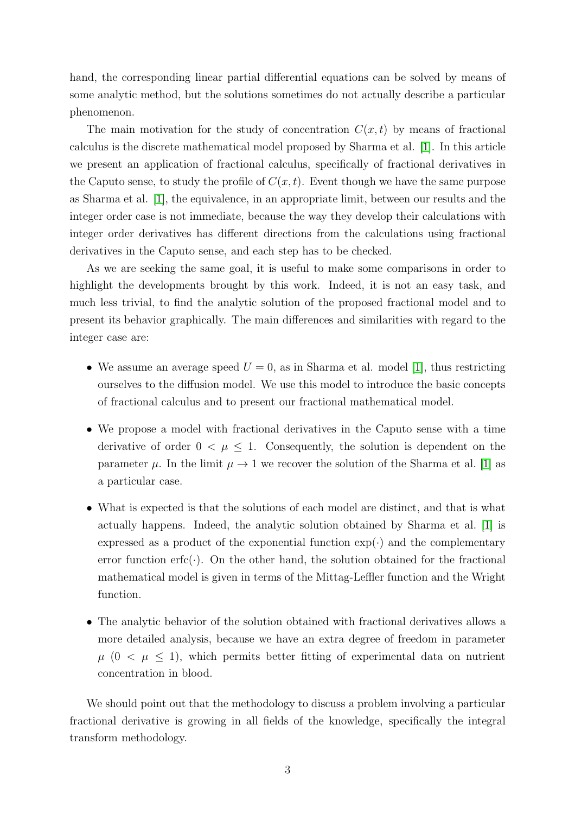hand, the corresponding linear partial differential equations can be solved by means of some analytic method, but the solutions sometimes do not actually describe a particular phenomenon.

The main motivation for the study of concentration  $C(x, t)$  by means of fractional calculus is the discrete mathematical model proposed by Sharma et al. [\[1\]](#page-15-0). In this article we present an application of fractional calculus, specifically of fractional derivatives in the Caputo sense, to study the profile of  $C(x, t)$ . Event though we have the same purpose as Sharma et al. [\[1\]](#page-15-0), the equivalence, in an appropriate limit, between our results and the integer order case is not immediate, because the way they develop their calculations with integer order derivatives has different directions from the calculations using fractional derivatives in the Caputo sense, and each step has to be checked.

As we are seeking the same goal, it is useful to make some comparisons in order to highlight the developments brought by this work. Indeed, it is not an easy task, and much less trivial, to find the analytic solution of the proposed fractional model and to present its behavior graphically. The main differences and similarities with regard to the integer case are:

- We assume an average speed  $U = 0$ , as in Sharma et al. model [\[1\]](#page-15-0), thus restricting ourselves to the diffusion model. We use this model to introduce the basic concepts of fractional calculus and to present our fractional mathematical model.
- We propose a model with fractional derivatives in the Caputo sense with a time derivative of order  $0 < \mu \leq 1$ . Consequently, the solution is dependent on the parameter  $\mu$ . In the limit  $\mu \to 1$  we recover the solution of the Sharma et al. [\[1\]](#page-15-0) as a particular case.
- What is expected is that the solutions of each model are distinct, and that is what actually happens. Indeed, the analytic solution obtained by Sharma et al. [\[1\]](#page-15-0) is expressed as a product of the exponential function  $\exp(\cdot)$  and the complementary error function erfc $(\cdot)$ . On the other hand, the solution obtained for the fractional mathematical model is given in terms of the Mittag-Leffler function and the Wright function.
- The analytic behavior of the solution obtained with fractional derivatives allows a more detailed analysis, because we have an extra degree of freedom in parameter  $\mu$  (0 <  $\mu$   $\leq$  1), which permits better fitting of experimental data on nutrient concentration in blood.

We should point out that the methodology to discuss a problem involving a particular fractional derivative is growing in all fields of the knowledge, specifically the integral transform methodology.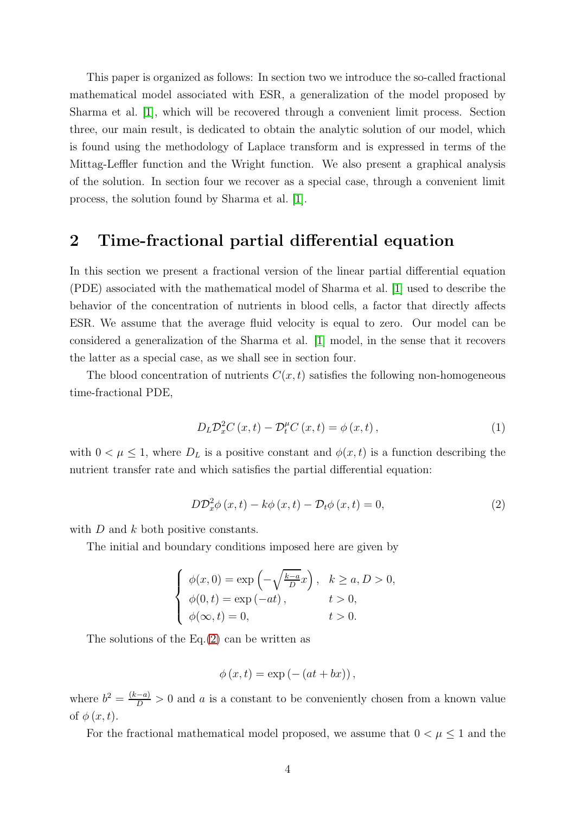This paper is organized as follows: In section two we introduce the so-called fractional mathematical model associated with ESR, a generalization of the model proposed by Sharma et al. [\[1\]](#page-15-0), which will be recovered through a convenient limit process. Section three, our main result, is dedicated to obtain the analytic solution of our model, which is found using the methodology of Laplace transform and is expressed in terms of the Mittag-Leffler function and the Wright function. We also present a graphical analysis of the solution. In section four we recover as a special case, through a convenient limit process, the solution found by Sharma et al. [\[1\]](#page-15-0).

#### 2 Time-fractional partial differential equation

In this section we present a fractional version of the linear partial differential equation (PDE) associated with the mathematical model of Sharma et al. [\[1\]](#page-15-0) used to describe the behavior of the concentration of nutrients in blood cells, a factor that directly affects ESR. We assume that the average fluid velocity is equal to zero. Our model can be considered a generalization of the Sharma et al. [\[1\]](#page-15-0) model, in the sense that it recovers the latter as a special case, as we shall see in section four.

The blood concentration of nutrients  $C(x, t)$  satisfies the following non-homogeneous time-fractional PDE,

<span id="page-3-1"></span>
$$
D_{L} \mathcal{D}_{x}^{2} C(x,t) - \mathcal{D}_{t}^{\mu} C(x,t) = \phi(x,t), \qquad (1)
$$

with  $0 < \mu \leq 1$ , where  $D<sub>L</sub>$  is a positive constant and  $\phi(x, t)$  is a function describing the nutrient transfer rate and which satisfies the partial differential equation:

<span id="page-3-0"></span>
$$
D\mathcal{D}_x^2 \phi(x,t) - k\phi(x,t) - \mathcal{D}_t \phi(x,t) = 0,
$$
\n(2)

with  $D$  and  $k$  both positive constants.

The initial and boundary conditions imposed here are given by

$$
\begin{cases}\n\phi(x,0) = \exp\left(-\sqrt{\frac{k-a}{D}}x\right), & k \ge a, D > 0, \\
\phi(0,t) = \exp\left(-at\right), & t > 0, \\
\phi(\infty,t) = 0, & t > 0.\n\end{cases}
$$

The solutions of the  $Eq.(2)$  $Eq.(2)$  can be written as

$$
\phi(x,t) = \exp(-(at+bx)),
$$

where  $b^2 = \frac{(k-a)}{D} > 0$  and a is a constant to be conveniently chosen from a known value of  $\phi(x, t)$ .

For the fractional mathematical model proposed, we assume that  $0 < \mu \leq 1$  and the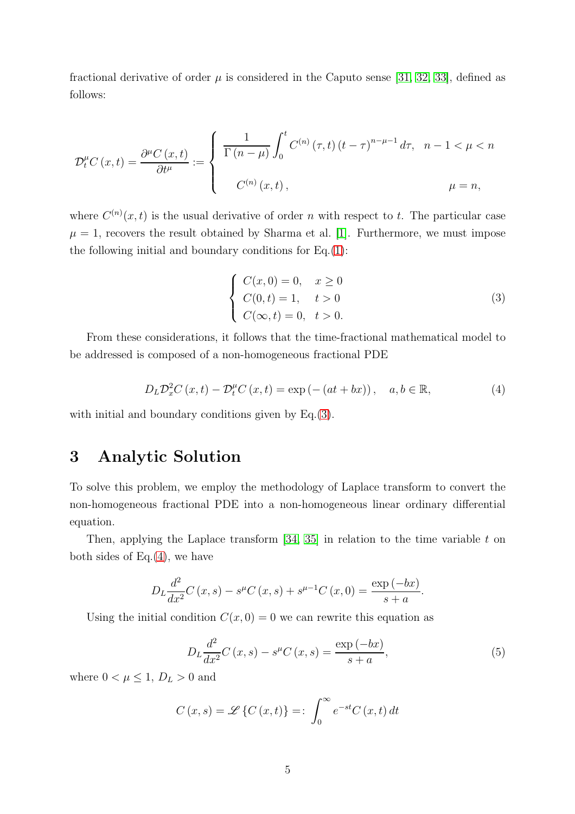fractional derivative of order  $\mu$  is considered in the Caputo sense [\[31,](#page-17-9) [32,](#page-17-10) [33\]](#page-17-11), defined as follows:

$$
\mathcal{D}_{t}^{\mu}C\left(x,t\right) = \frac{\partial^{\mu}C\left(x,t\right)}{\partial t^{\mu}} := \begin{cases} \frac{1}{\Gamma\left(n-\mu\right)} \int_{0}^{t} C^{(n)}\left(\tau,t\right) \left(t-\tau\right)^{n-\mu-1} d\tau, & n-1 < \mu < n \\ \\ C^{(n)}\left(x,t\right), & \mu = n, \end{cases}
$$

where  $C^{(n)}(x,t)$  is the usual derivative of order n with respect to t. The particular case  $\mu = 1$ , recovers the result obtained by Sharma et al. [\[1\]](#page-15-0). Furthermore, we must impose the following initial and boundary conditions for Eq.[\(1\)](#page-3-1):

<span id="page-4-0"></span>
$$
\begin{cases}\nC(x,0) = 0, & x \ge 0 \\
C(0,t) = 1, & t > 0 \\
C(\infty,t) = 0, & t > 0.\n\end{cases}
$$
\n(3)

From these considerations, it follows that the time-fractional mathematical model to be addressed is composed of a non-homogeneous fractional PDE

<span id="page-4-1"></span>
$$
D_L \mathcal{D}_x^2 C(x, t) - \mathcal{D}_t^{\mu} C(x, t) = \exp(-(at + bx)), \quad a, b \in \mathbb{R}, \tag{4}
$$

with initial and boundary conditions given by Eq.[\(3\)](#page-4-0).

#### 3 Analytic Solution

To solve this problem, we employ the methodology of Laplace transform to convert the non-homogeneous fractional PDE into a non-homogeneous linear ordinary differential equation.

Then, applying the Laplace transform  $[34, 35]$  $[34, 35]$  in relation to the time variable t on both sides of Eq. $(4)$ , we have

$$
D_{L} \frac{d^{2}}{dx^{2}} C(x, s) - s^{\mu} C(x, s) + s^{\mu - 1} C(x, 0) = \frac{\exp(-bx)}{s + a}.
$$

Using the initial condition  $C(x, 0) = 0$  we can rewrite this equation as

<span id="page-4-2"></span>
$$
D_{L}\frac{d^{2}}{dx^{2}}C(x,s) - s^{\mu}C(x,s) = \frac{\exp(-bx)}{s+a},
$$
\n(5)

where  $0 < \mu \leq 1$ ,  $D_L > 0$  and

$$
C(x,s) = \mathscr{L}\left\{C(x,t)\right\} =: \int_0^\infty e^{-st} C(x,t) dt
$$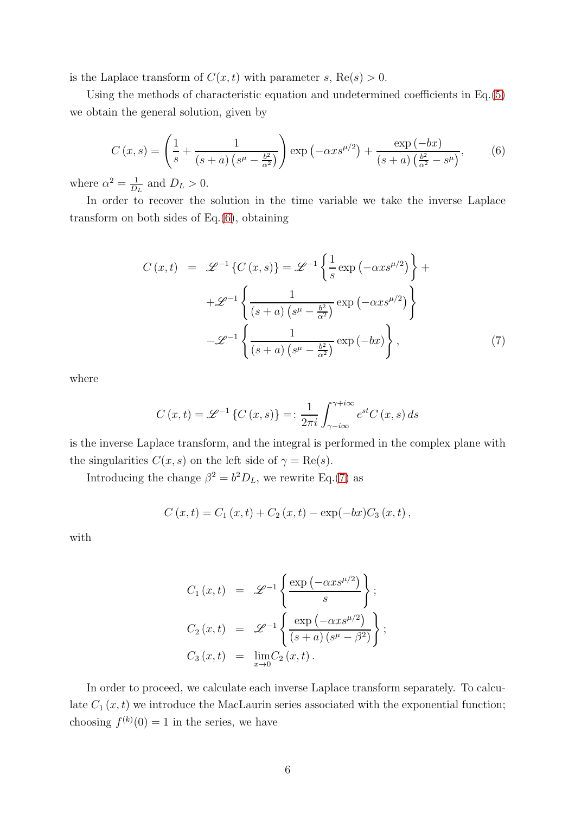is the Laplace transform of  $C(x, t)$  with parameter s,  $\text{Re}(s) > 0$ .

Using the methods of characteristic equation and undetermined coefficients in Eq.[\(5\)](#page-4-2) we obtain the general solution, given by

<span id="page-5-0"></span>
$$
C(x,s) = \left(\frac{1}{s} + \frac{1}{(s+a)\left(s^{\mu} - \frac{b^2}{\alpha^2}\right)}\right) \exp\left(-\alpha xs^{\mu/2}\right) + \frac{\exp\left(-bx\right)}{(s+a)\left(\frac{b^2}{\alpha^2} - s^{\mu}\right)},\tag{6}
$$

where  $\alpha^2 = \frac{1}{D}$  $\frac{1}{D_L}$  and  $D_L > 0$ .

In order to recover the solution in the time variable we take the inverse Laplace transform on both sides of Eq.[\(6\)](#page-5-0), obtaining

<span id="page-5-1"></span>
$$
C(x,t) = \mathcal{L}^{-1}\left\{C(x,s)\right\} = \mathcal{L}^{-1}\left\{\frac{1}{s}\exp\left(-\alpha xs^{\mu/2}\right)\right\} + \mathcal{L}^{-1}\left\{\frac{1}{(s+a)\left(s^{\mu}-\frac{b^2}{\alpha^2}\right)}\exp\left(-\alpha xs^{\mu/2}\right)\right\} - \mathcal{L}^{-1}\left\{\frac{1}{(s+a)\left(s^{\mu}-\frac{b^2}{\alpha^2}\right)}\exp\left(-bx\right)\right\},\tag{7}
$$

where

$$
C(x,t) = \mathcal{L}^{-1}\left\{C(x,s)\right\} = \frac{1}{2\pi i} \int_{\gamma - i\infty}^{\gamma + i\infty} e^{st} C(x,s) \, ds
$$

is the inverse Laplace transform, and the integral is performed in the complex plane with the singularities  $C(x, s)$  on the left side of  $\gamma = \text{Re}(s)$ .

Introducing the change  $\beta^2 = b^2 D_L$ , we rewrite Eq.[\(7\)](#page-5-1) as

$$
C(x,t) = C_1(x,t) + C_2(x,t) - \exp(-bx)C_3(x,t),
$$

with

$$
C_1(x,t) = \mathcal{L}^{-1}\left\{\frac{\exp(-\alpha xs^{\mu/2})}{s}\right\};
$$
  
\n
$$
C_2(x,t) = \mathcal{L}^{-1}\left\{\frac{\exp(-\alpha xs^{\mu/2})}{(s+a)(s^{\mu}-\beta^2)}\right\};
$$
  
\n
$$
C_3(x,t) = \lim_{x\to 0} C_2(x,t).
$$

In order to proceed, we calculate each inverse Laplace transform separately. To calculate  $C_1(x, t)$  we introduce the MacLaurin series associated with the exponential function; choosing  $f^{(k)}(0) = 1$  in the series, we have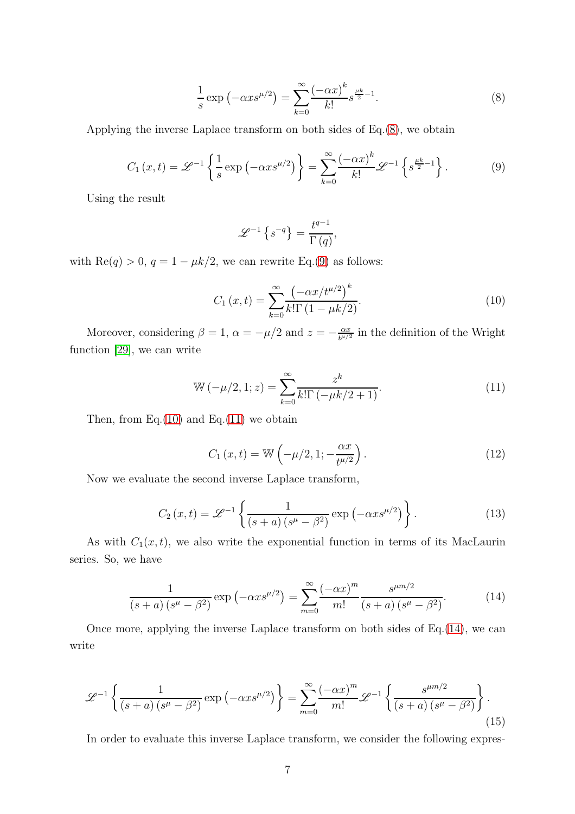<span id="page-6-0"></span>
$$
\frac{1}{s} \exp\left(-\alpha x s^{\mu/2}\right) = \sum_{k=0}^{\infty} \frac{(-\alpha x)^k}{k!} s^{\frac{\mu k}{2} - 1}.
$$
\n(8)

Applying the inverse Laplace transform on both sides of Eq.[\(8\)](#page-6-0), we obtain

<span id="page-6-1"></span>
$$
C_1(x,t) = \mathcal{L}^{-1}\left\{\frac{1}{s}\exp\left(-\alpha xs^{\mu/2}\right)\right\} = \sum_{k=0}^{\infty} \frac{\left(-\alpha x\right)^k}{k!} \mathcal{L}^{-1}\left\{s^{\frac{\mu k}{2}-1}\right\}.
$$
 (9)

Using the result

$$
\mathscr{L}^{-1}\left\{s^{-q}\right\} = \frac{t^{q-1}}{\Gamma\left(q\right)},
$$

with  $\text{Re}(q) > 0$ ,  $q = 1 - \mu k/2$ , we can rewrite Eq.[\(9\)](#page-6-1) as follows:

<span id="page-6-2"></span>
$$
C_1(x,t) = \sum_{k=0}^{\infty} \frac{\left(-\alpha x/t^{\mu/2}\right)^k}{k!\Gamma\left(1-\mu k/2\right)}.
$$
\n(10)

Moreover, considering  $\beta = 1$ ,  $\alpha = -\mu/2$  and  $z = -\frac{\alpha x}{t^{\mu/2}}$  $\frac{\alpha x}{t^{\mu/2}}$  in the definition of the Wright function [\[29\]](#page-17-7), we can write

<span id="page-6-3"></span>
$$
W(-\mu/2, 1; z) = \sum_{k=0}^{\infty} \frac{z^k}{k! \Gamma(-\mu k/2 + 1)}.
$$
 (11)

Then, from  $Eq.(10)$  $Eq.(10)$  and  $Eq.(11)$  $Eq.(11)$  we obtain

<span id="page-6-6"></span>
$$
C_1(x,t) = W\left(-\mu/2, 1; -\frac{\alpha x}{t^{\mu/2}}\right).
$$
 (12)

Now we evaluate the second inverse Laplace transform,

<span id="page-6-7"></span>
$$
C_2(x,t) = \mathcal{L}^{-1}\left\{\frac{1}{(s+a)\left(s^{\mu} - \beta^2\right)}\exp\left(-\alpha xs^{\mu/2}\right)\right\}.
$$
 (13)

As with  $C_1(x, t)$ , we also write the exponential function in terms of its MacLaurin series. So, we have

<span id="page-6-4"></span>
$$
\frac{1}{\left(s+a\right)\left(s^{\mu}-\beta^{2}\right)}\exp\left(-\alpha xs^{\mu/2}\right)=\sum_{m=0}^{\infty}\frac{\left(-\alpha x\right)^{m}}{m!}\frac{s^{\mu m/2}}{\left(s+a\right)\left(s^{\mu}-\beta^{2}\right)}.\tag{14}
$$

Once more, applying the inverse Laplace transform on both sides of Eq.[\(14\)](#page-6-4), we can write

<span id="page-6-5"></span>
$$
\mathcal{L}^{-1}\left\{\frac{1}{(s+a)(s^{\mu}-\beta^2)}\exp\left(-\alpha xs^{\mu/2}\right)\right\} = \sum_{m=0}^{\infty} \frac{(-\alpha x)^m}{m!} \mathcal{L}^{-1}\left\{\frac{s^{\mu m/2}}{(s+a)(s^{\mu}-\beta^2)}\right\}.
$$
\n(15)

In order to evaluate this inverse Laplace transform, we consider the following expres-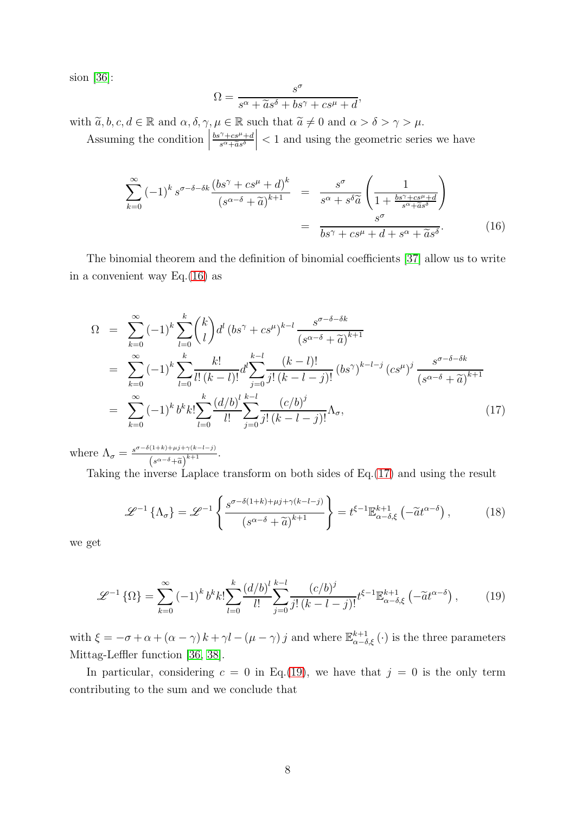sion [\[36\]](#page-18-0):

$$
\Omega = \frac{s^{\sigma}}{s^{\alpha} + \widetilde{a}s^{\delta} + bs^{\gamma} + cs^{\mu} + d},
$$

with  $\widetilde{a}, b, c, d \in \mathbb{R}$  and  $\alpha, \delta, \gamma, \mu \in \mathbb{R}$  such that  $\widetilde{a} \neq 0$  and  $\alpha > \delta > \gamma > \mu$ .

Assuming the condition  $\Big|$  $bs^{\gamma}+cs^{\mu}+d$  $s^{\alpha}+\widetilde{a}s^{\delta}$  $\vert < 1$  and using the geometric series we have

<span id="page-7-0"></span>
$$
\sum_{k=0}^{\infty} (-1)^k s^{\sigma-\delta-k} \frac{(bs^{\gamma} + cs^{\mu} + d)^k}{(s^{\alpha-\delta} + \widetilde{a})^{k+1}} = \frac{s^{\sigma}}{s^{\alpha} + s^{\delta}\widetilde{a}} \left( \frac{1}{1 + \frac{bs^{\gamma} + cs^{\mu} + d}{s^{\alpha} + \widetilde{a}s^{\delta}}} \right)
$$

$$
= \frac{s^{\sigma}}{bs^{\gamma} + cs^{\mu} + d + s^{\alpha} + \widetilde{a}s^{\delta}}.
$$
(16)

The binomial theorem and the definition of binomial coefficients [\[37\]](#page-18-1) allow us to write in a convenient way Eq.[\(16\)](#page-7-0) as

<span id="page-7-1"></span>
$$
\Omega = \sum_{k=0}^{\infty} (-1)^k \sum_{l=0}^k {k \choose l} d^l (bs^{\gamma} + cs^{\mu})^{k-l} \frac{s^{\sigma-\delta-\delta k}}{(s^{\alpha-\delta}+\widetilde{a})^{k+1}}
$$
  
\n
$$
= \sum_{k=0}^{\infty} (-1)^k \sum_{l=0}^k \frac{k!}{l! (k-l)!} d^l \sum_{j=0}^{k-l} \frac{(k-l)!}{j! (k-l-j)!} (bs^{\gamma})^{k-l-j} (cs^{\mu})^j \frac{s^{\sigma-\delta-\delta k}}{(s^{\alpha-\delta}+\widetilde{a})^{k+1}}
$$
  
\n
$$
= \sum_{k=0}^{\infty} (-1)^k b^k k! \sum_{l=0}^k \frac{(d/b)^l}{l!} \sum_{j=0}^{k-l} \frac{(c/b)^j}{j! (k-l-j)!} \Lambda_{\sigma}, \qquad (17)
$$

where  $\Lambda_{\sigma} = \frac{s^{\sigma-\delta(1+k)+\mu j+\gamma(k-l-j)}}{(s-\delta+\gamma)^{k+1}}$  $\frac{(s^{\alpha-\delta}+\widetilde{a})^{k+1}}{(s^{\alpha-\delta}+\widetilde{a})^{k+1}}$ .

Taking the inverse Laplace transform on both sides of Eq.[\(17\)](#page-7-1) and using the result

$$
\mathcal{L}^{-1}\left\{\Lambda_{\sigma}\right\} = \mathcal{L}^{-1}\left\{\frac{s^{\sigma-\delta(1+k)+\mu j+\gamma(k-l-j)}}{(s^{\alpha-\delta}+\widetilde{a})^{k+1}}\right\} = t^{\xi-1}\mathbb{E}_{\alpha-\delta,\xi}^{k+1}\left(-\widetilde{a}t^{\alpha-\delta}\right),\tag{18}
$$

we get

<span id="page-7-2"></span>
$$
\mathcal{L}^{-1}\left\{\Omega\right\} = \sum_{k=0}^{\infty} \left(-1\right)^k b^k k! \sum_{l=0}^k \frac{\left(d/b\right)^l}{l!} \sum_{j=0}^{k-l} \frac{\left(c/b\right)^j}{j! \left(k-l-j\right)!} t^{\xi-1} \mathbb{E}_{\alpha-\delta,\xi}^{k+1} \left(-\tilde{a}t^{\alpha-\delta}\right),\tag{19}
$$

with  $\xi = -\sigma + \alpha + (\alpha - \gamma) k + \gamma l - (\mu - \gamma) j$  and where  $\mathbb{E}^{k+1}_{\alpha-\delta,\xi}(\cdot)$  is the three parameters Mittag-Leffler function [\[36,](#page-18-0) [38\]](#page-18-2).

In particular, considering  $c = 0$  in Eq.[\(19\)](#page-7-2), we have that  $j = 0$  is the only term contributing to the sum and we conclude that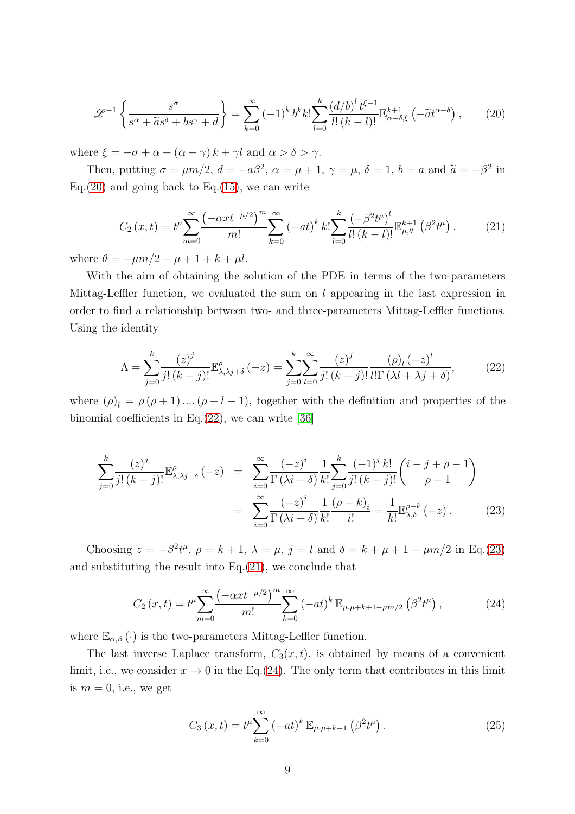<span id="page-8-0"></span>
$$
\mathcal{L}^{-1}\left\{\frac{s^{\sigma}}{s^{\alpha}+\widetilde{a}s^{\delta}+bs^{\gamma}+d}\right\} = \sum_{k=0}^{\infty}(-1)^{k}b^{k}k!\sum_{l=0}^{k}\frac{\left(d/b\right)^{l}t^{\xi-1}}{l!\left(k-l\right)!}\mathbb{E}_{\alpha-\delta,\xi}^{k+1}\left(-\widetilde{a}t^{\alpha-\delta}\right),\tag{20}
$$

where  $\xi = -\sigma + \alpha + (\alpha - \gamma) k + \gamma l$  and  $\alpha > \delta > \gamma$ .

Then, putting  $\sigma = \mu m/2$ ,  $d = -a\beta^2$ ,  $\alpha = \mu + 1$ ,  $\gamma = \mu$ ,  $\delta = 1$ ,  $b = a$  and  $\tilde{a} = -\beta^2$  in Eq.[\(20\)](#page-8-0) and going back to Eq.[\(15\)](#page-6-5), we can write

<span id="page-8-3"></span>
$$
C_2(x,t) = t^{\mu} \sum_{m=0}^{\infty} \frac{\left(-\alpha x t^{-\mu/2}\right)^m}{m!} \sum_{k=0}^{\infty} \left(-at\right)^k k! \sum_{l=0}^k \frac{\left(-\beta^2 t^{\mu}\right)^l}{l! \left(k-l\right)!} \mathbb{E}_{\mu,\theta}^{k+1} \left(\beta^2 t^{\mu}\right),\tag{21}
$$

where  $\theta = -\mu m/2 + \mu + 1 + k + \mu l$ .

With the aim of obtaining the solution of the PDE in terms of the two-parameters Mittag-Leffler function, we evaluated the sum on l appearing in the last expression in order to find a relationship between two- and three-parameters Mittag-Leffler functions. Using the identity

<span id="page-8-1"></span>
$$
\Lambda = \sum_{j=0}^{k} \frac{(z)^j}{j! \, (k-j)!} \mathbb{E}^{\rho}_{\lambda, \lambda j + \delta} (-z) = \sum_{j=0}^{k} \sum_{l=0}^{\infty} \frac{(z)^j}{j! \, (k-j)!} \frac{(\rho)_l (-z)^l}{l! \Gamma(\lambda l + \lambda j + \delta)},\tag{22}
$$

where  $(\rho)_l = \rho(\rho + 1) \dots (\rho + l - 1)$ , together with the definition and properties of the binomial coefficients in Eq. $(22)$ , we can write [\[36\]](#page-18-0)

<span id="page-8-2"></span>
$$
\sum_{j=0}^{k} \frac{(z)^j}{j!(k-j)!} \mathbb{E}^{\rho}_{\lambda,\lambda j+\delta}(-z) = \sum_{i=0}^{\infty} \frac{(-z)^i}{\Gamma(\lambda i+\delta)} \frac{1}{k!} \sum_{j=0}^{k} \frac{(-1)^j k!}{j!(k-j)!} {i-j+\rho-1 \choose \rho-1}
$$

$$
= \sum_{i=0}^{\infty} \frac{(-z)^i}{\Gamma(\lambda i+\delta)} \frac{1}{k!} \frac{(\rho-k)_i}{i!} = \frac{1}{k!} \mathbb{E}^{\rho-k}_{\lambda,\delta}(-z). \tag{23}
$$

Choosing  $z = -\beta^2 t^{\mu}$ ,  $\rho = k + 1$ ,  $\lambda = \mu$ ,  $j = l$  and  $\delta = k + \mu + 1 - \mu m/2$  in Eq.[\(23\)](#page-8-2) and substituting the result into Eq.[\(21\)](#page-8-3), we conclude that

<span id="page-8-4"></span>
$$
C_2(x,t) = t^{\mu} \sum_{m=0}^{\infty} \frac{\left(-\alpha x t^{-\mu/2}\right)^m}{m!} \sum_{k=0}^{\infty} \left(-at\right)^k \mathbb{E}_{\mu,\mu+k+1-\mu m/2} \left(\beta^2 t^{\mu}\right),\tag{24}
$$

where  $\mathbb{E}_{\alpha,\beta}(\cdot)$  is the two-parameters Mittag-Leffler function.

The last inverse Laplace transform,  $C_3(x,t)$ , is obtained by means of a convenient limit, i.e., we consider  $x \to 0$  in the Eq.[\(24\)](#page-8-4). The only term that contributes in this limit is  $m = 0$ , i.e., we get

<span id="page-8-5"></span>
$$
C_3(x,t) = t^{\mu} \sum_{k=0}^{\infty} (-at)^k \mathbb{E}_{\mu,\mu+k+1} (\beta^2 t^{\mu}).
$$
 (25)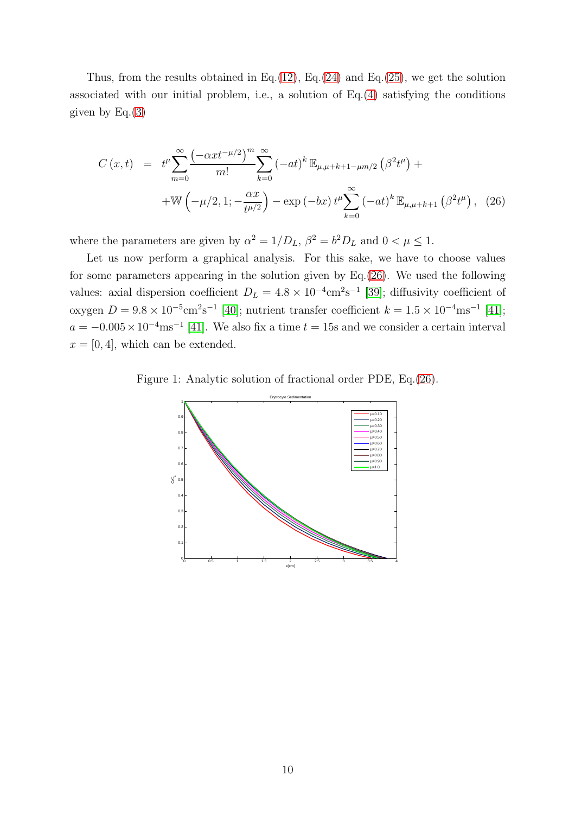Thus, from the results obtained in Eq.[\(12\)](#page-6-6), Eq.[\(24\)](#page-8-4) and Eq.[\(25\)](#page-8-5), we get the solution associated with our initial problem, i.e., a solution of Eq.[\(4\)](#page-4-1) satisfying the conditions given by  $Eq.(3)$  $Eq.(3)$ 

<span id="page-9-0"></span>
$$
C(x,t) = t^{\mu} \sum_{m=0}^{\infty} \frac{(-\alpha x t^{-\mu/2})^m}{m!} \sum_{k=0}^{\infty} (-at)^k \mathbb{E}_{\mu,\mu+k+1-\mu m/2} (\beta^2 t^{\mu}) +
$$
  
+W\left(-\mu/2, 1; -\frac{\alpha x}{t^{\mu/2}}\right) - \exp(-bx) t^{\mu} \sum\_{k=0}^{\infty} (-at)^k \mathbb{E}\_{\mu,\mu+k+1} (\beta^2 t^{\mu}), (26)

where the parameters are given by  $\alpha^2 = 1/D_L$ ,  $\beta^2 = b^2 D_L$  and  $0 < \mu \le 1$ .

Let us now perform a graphical analysis. For this sake, we have to choose values for some parameters appearing in the solution given by Eq.[\(26\)](#page-9-0). We used the following values: axial dispersion coefficient  $D_L = 4.8 \times 10^{-4} \text{cm}^2 \text{s}^{-1}$  [\[39\]](#page-18-3); diffusivity coefficient of oxygen  $D = 9.8 \times 10^{-5} \text{cm}^2 \text{s}^{-1}$  [\[40\]](#page-18-4); nutrient transfer coefficient  $k = 1.5 \times 10^{-4} \text{ms}^{-1}$  [\[41\]](#page-18-5);  $a = -0.005 \times 10^{-4} \text{ms}^{-1}$  [\[41\]](#page-18-5). We also fix a time  $t = 15$ s and we consider a certain interval  $x = [0, 4]$ , which can be extended.

Figure 1: Analytic solution of fractional order PDE, Eq.[\(26\)](#page-9-0).

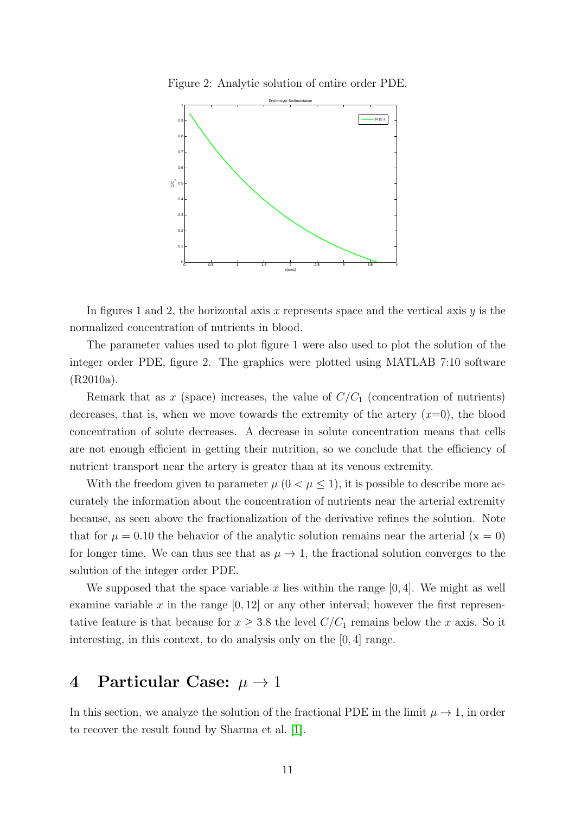Figure 2: Analytic solution of entire order PDE.



In figures 1 and 2, the horizontal axis x represents space and the vertical axis  $y$  is the normalized concentration of nutrients in blood.

The parameter values used to plot figure 1 were also used to plot the solution of the integer order PDE, figure 2. The graphics were plotted using MATLAB 7:10 software (R2010a).

Remark that as x (space) increases, the value of  $C/C<sub>1</sub>$  (concentration of nutrients) decreases, that is, when we move towards the extremity of the artery  $(x=0)$ , the blood concentration of solute decreases. A decrease in solute concentration means that cells are not enough efficient in getting their nutrition, so we conclude that the efficiency of nutrient transport near the artery is greater than at its venous extremity.

With the freedom given to parameter  $\mu$  ( $0 < \mu \leq 1$ ), it is possible to describe more accurately the information about the concentration of nutrients near the arterial extremity because, as seen above the fractionalization of the derivative refines the solution. Note that for  $\mu = 0.10$  the behavior of the analytic solution remains near the arterial  $(x = 0)$ for longer time. We can thus see that as  $\mu \to 1$ , the fractional solution converges to the solution of the integer order PDE.

We supposed that the space variable x lies within the range  $[0, 4]$ . We might as well examine variable x in the range  $[0, 12]$  or any other interval; however the first representative feature is that because for  $x \geq 3.8$  the level  $C/C_1$  remains below the x axis. So it interesting, in this context, to do analysis only on the [0, 4] range.

## 4 Particular Case:  $\mu \rightarrow 1$

In this section, we analyze the solution of the fractional PDE in the limit  $\mu \to 1$ , in order to recover the result found by Sharma et al. [\[1\]](#page-15-0).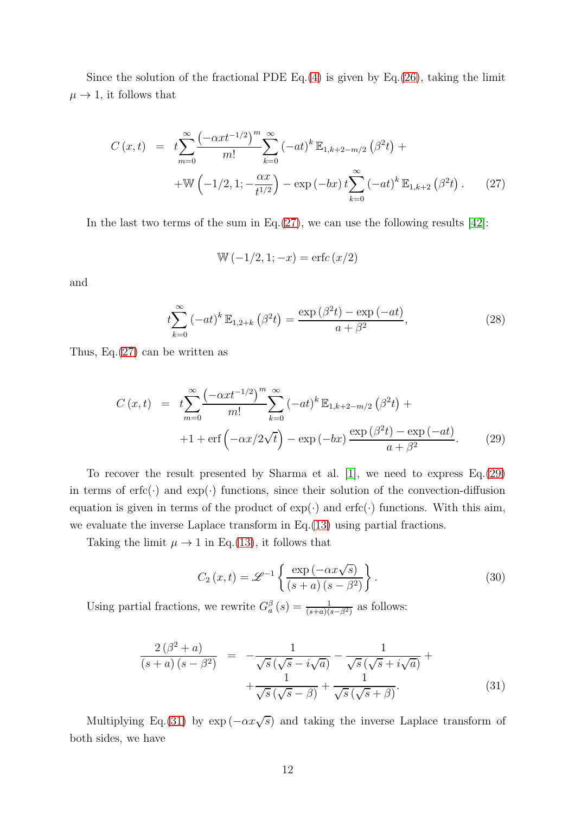Since the solution of the fractional PDE  $Eq.(4)$  $Eq.(4)$  is given by  $Eq.(26)$  $Eq.(26)$ , taking the limit  $\mu \rightarrow 1$ , it follows that

<span id="page-11-0"></span>
$$
C(x,t) = t \sum_{m=0}^{\infty} \frac{(-\alpha x t^{-1/2})^m \sum_{k=0}^{\infty} (-at)^k \mathbb{E}_{1,k+2-m/2} (\beta^2 t) + \n+ \mathbb{W} \left(-1/2, 1; -\frac{\alpha x}{t^{1/2}}\right) - \exp(-bx) t \sum_{k=0}^{\infty} (-at)^k \mathbb{E}_{1,k+2} (\beta^2 t).
$$
 (27)

In the last two terms of the sum in Eq.  $(27)$ , we can use the following results [\[42\]](#page-18-6):

$$
W(-1/2, 1; -x) = \text{erfc}(x/2)
$$

and

<span id="page-11-3"></span>
$$
t\sum_{k=0}^{\infty} (-at)^{k} \mathbb{E}_{1,2+k} (\beta^{2} t) = \frac{\exp (\beta^{2} t) - \exp (-at)}{a + \beta^{2}}, \qquad (28)
$$

Thus, Eq.[\(27\)](#page-11-0) can be written as

<span id="page-11-1"></span>
$$
C(x,t) = t \sum_{m=0}^{\infty} \frac{(-\alpha x t^{-1/2})^m \sum_{k=0}^{\infty} (-at)^k \mathbb{E}_{1,k+2-m/2} (\beta^2 t) +
$$
  
+1+ erf  $(-\alpha x/2\sqrt{t}) - \exp(-bx) \frac{\exp(\beta^2 t) - \exp(-at)}{a + \beta^2}$ . (29)

To recover the result presented by Sharma et al. [\[1\]](#page-15-0), we need to express Eq.[\(29\)](#page-11-1) in terms of erfc( $\cdot$ ) and exp( $\cdot$ ) functions, since their solution of the convection-diffusion equation is given in terms of the product of  $\exp(\cdot)$  and  $\text{erfc}(\cdot)$  functions. With this aim, we evaluate the inverse Laplace transform in Eq.[\(13\)](#page-6-7) using partial fractions.

Taking the limit  $\mu \to 1$  in Eq.[\(13\)](#page-6-7), it follows that

$$
C_2(x,t) = \mathcal{L}^{-1}\left\{\frac{\exp\left(-\alpha x\sqrt{s}\right)}{\left(s+a\right)\left(s-\beta^2\right)}\right\}.
$$
\n(30)

Using partial fractions, we rewrite  $G_a^{\beta}(s) = \frac{1}{(s+a)(s-\beta^2)}$  as follows:

<span id="page-11-2"></span>
$$
\frac{2\left(\beta^2+a\right)}{\left(s+a\right)\left(s-\beta^2\right)} = -\frac{1}{\sqrt{s}\left(\sqrt{s}-i\sqrt{a}\right)} - \frac{1}{\sqrt{s}\left(\sqrt{s}+i\sqrt{a}\right)} + \frac{1}{\sqrt{s}\left(\sqrt{s}-\beta\right)} + \frac{1}{\sqrt{s}\left(\sqrt{s}+\beta\right)}.
$$
\n(31)

Multiplying Eq.[\(31\)](#page-11-2) by  $\exp(-\alpha x \sqrt{s})$  and taking the inverse Laplace transform of both sides, we have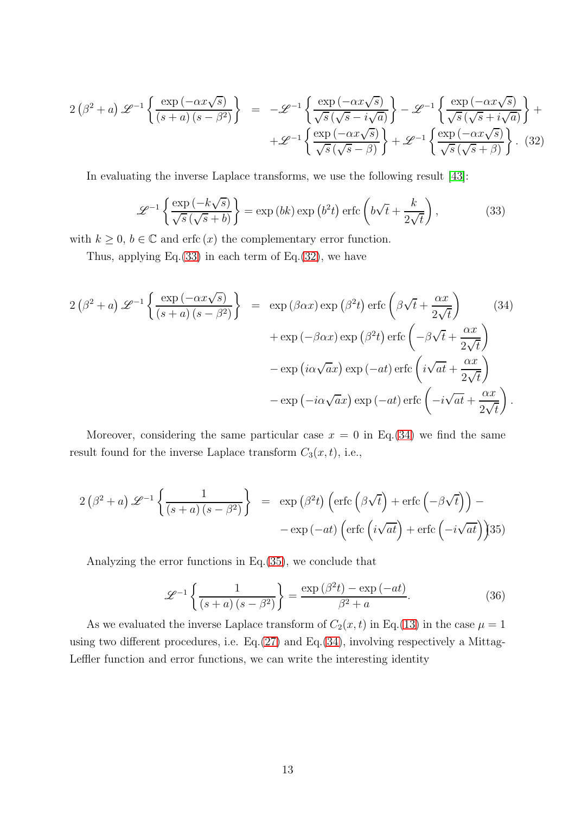<span id="page-12-1"></span>
$$
2\left(\beta^2 + a\right)\mathscr{L}^{-1}\left\{\frac{\exp\left(-\alpha x\sqrt{s}\right)}{\left(s+a\right)\left(s-\beta^2\right)}\right\} = -\mathscr{L}^{-1}\left\{\frac{\exp\left(-\alpha x\sqrt{s}\right)}{\sqrt{s}\left(\sqrt{s}-i\sqrt{a}\right)}\right\} - \mathscr{L}^{-1}\left\{\frac{\exp\left(-\alpha x\sqrt{s}\right)}{\sqrt{s}\left(\sqrt{s}+i\sqrt{a}\right)}\right\} + \mathscr{L}^{-1}\left\{\frac{\exp\left(-\alpha x\sqrt{s}\right)}{\sqrt{s}\left(\sqrt{s}-\beta\right)}\right\} + \mathscr{L}^{-1}\left\{\frac{\exp\left(-\alpha x\sqrt{s}\right)}{\sqrt{s}\left(\sqrt{s}+\beta\right)}\right\}.\tag{32}
$$

In evaluating the inverse Laplace transforms, we use the following result [\[43\]](#page-18-7):

<span id="page-12-0"></span>
$$
\mathcal{L}^{-1}\left\{\frac{\exp\left(-k\sqrt{s}\right)}{\sqrt{s}\left(\sqrt{s}+b\right)}\right\} = \exp\left(bk\right)\exp\left(b^{2}t\right)\text{erfc}\left(b\sqrt{t}+\frac{k}{2\sqrt{t}}\right),\tag{33}
$$

with  $k \geq 0$ ,  $b \in \mathbb{C}$  and erfc  $(x)$  the complementary error function.

Thus, applying Eq.[\(33\)](#page-12-0) in each term of Eq.[\(32\)](#page-12-1), we have

<span id="page-12-2"></span>
$$
2(\beta^2 + a) \mathscr{L}^{-1} \left\{ \frac{\exp(-\alpha x \sqrt{s})}{(s+a)(s-\beta^2)} \right\} = \exp(\beta \alpha x) \exp(\beta^2 t) \operatorname{erfc}\left(\beta \sqrt{t} + \frac{\alpha x}{2\sqrt{t}}\right)
$$
\n
$$
+ \exp(-\beta \alpha x) \exp(\beta^2 t) \operatorname{erfc}\left(-\beta \sqrt{t} + \frac{\alpha x}{2\sqrt{t}}\right)
$$
\n
$$
- \exp(i\alpha \sqrt{a}x) \exp(-at) \operatorname{erfc}\left(i\sqrt{at} + \frac{\alpha x}{2\sqrt{t}}\right)
$$
\n
$$
- \exp(-i\alpha \sqrt{a}x) \exp(-at) \operatorname{erfc}\left(-i\sqrt{at} + \frac{\alpha x}{2\sqrt{t}}\right).
$$
\n(34)

Moreover, considering the same particular case  $x = 0$  in Eq.[\(34\)](#page-12-2) we find the same result found for the inverse Laplace transform  $C_3(x, t)$ , i.e.,

<span id="page-12-3"></span>
$$
2(\beta^2 + a) \mathscr{L}^{-1}\left\{\frac{1}{(s+a)(s-\beta^2)}\right\} = \exp(\beta^2 t)\left(\text{erfc}\left(\beta\sqrt{t}\right) + \text{erfc}\left(-\beta\sqrt{t}\right)\right) - \exp(-at)\left(\text{erfc}\left(i\sqrt{at}\right) + \text{erfc}\left(-i\sqrt{at}\right)\right)
$$

Analyzing the error functions in Eq.[\(35\)](#page-12-3), we conclude that

$$
\mathcal{L}^{-1}\left\{\frac{1}{(s+a)(s-\beta^2)}\right\} = \frac{\exp\left(\beta^2 t\right) - \exp\left(-at\right)}{\beta^2 + a}.\tag{36}
$$

As we evaluated the inverse Laplace transform of  $C_2(x, t)$  in Eq.[\(13\)](#page-6-7) in the case  $\mu = 1$ using two different procedures, i.e. Eq.[\(27\)](#page-11-0) and Eq.[\(34\)](#page-12-2), involving respectively a Mittag-Leffler function and error functions, we can write the interesting identity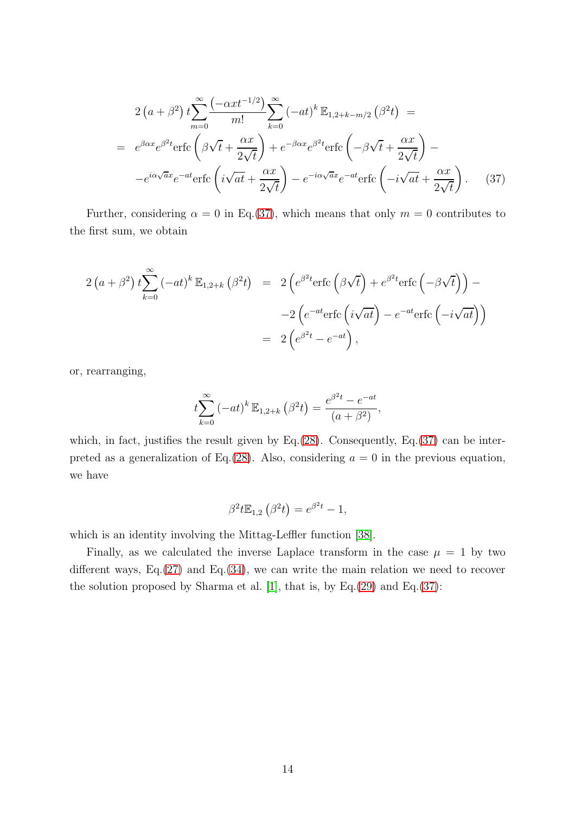<span id="page-13-0"></span>
$$
2\left(a+\beta^{2}\right)t\sum_{m=0}^{\infty}\frac{\left(-\alpha x t^{-1/2}\right)}{m!}\sum_{k=0}^{\infty}\left(-at\right)^{k}\mathbb{E}_{1,2+k-m/2}\left(\beta^{2}t\right) =
$$
\n
$$
= e^{\beta\alpha x}e^{\beta^{2}t}\text{erfc}\left(\beta\sqrt{t}+\frac{\alpha x}{2\sqrt{t}}\right)+e^{-\beta\alpha x}e^{\beta^{2}t}\text{erfc}\left(-\beta\sqrt{t}+\frac{\alpha x}{2\sqrt{t}}\right)-
$$
\n
$$
-e^{i\alpha\sqrt{a}x}e^{-at}\text{erfc}\left(i\sqrt{at}+\frac{\alpha x}{2\sqrt{t}}\right)-e^{-i\alpha\sqrt{a}x}e^{-at}\text{erfc}\left(-i\sqrt{at}+\frac{\alpha x}{2\sqrt{t}}\right). \tag{37}
$$

Further, considering  $\alpha = 0$  in Eq.[\(37\)](#page-13-0), which means that only  $m = 0$  contributes to the first sum, we obtain

$$
2\left(a+\beta^{2}\right)t\sum_{k=0}^{\infty}\left(-at\right)^{k}\mathbb{E}_{1,2+k}\left(\beta^{2}t\right) = 2\left(e^{\beta^{2}t}\text{erfc}\left(\beta\sqrt{t}\right)+e^{\beta^{2}t}\text{erfc}\left(-\beta\sqrt{t}\right)\right)--2\left(e^{-at}\text{erfc}\left(i\sqrt{at}\right)-e^{-at}\text{erfc}\left(-i\sqrt{at}\right)\right)= 2\left(e^{\beta^{2}t}-e^{-at}\right),
$$

or, rearranging,

$$
t\sum_{k=0}^{\infty} (-at)^k \mathbb{E}_{1,2+k} (\beta^2 t) = \frac{e^{\beta^2 t} - e^{-at}}{(a + \beta^2)},
$$

which, in fact, justifies the result given by Eq. $(28)$ . Consequently, Eq. $(37)$  can be inter-preted as a generalization of Eq.[\(28\)](#page-11-3). Also, considering  $a = 0$  in the previous equation, we have

$$
\beta^2 t \mathbb{E}_{1,2} \left( \beta^2 t \right) = e^{\beta^2 t} - 1,
$$

which is an identity involving the Mittag-Leffler function [\[38\]](#page-18-2).

Finally, as we calculated the inverse Laplace transform in the case  $\mu = 1$  by two different ways, Eq.[\(27\)](#page-11-0) and Eq.[\(34\)](#page-12-2), we can write the main relation we need to recover the solution proposed by Sharma et al. [\[1\]](#page-15-0), that is, by Eq.[\(29\)](#page-11-1) and Eq.[\(37\)](#page-13-0):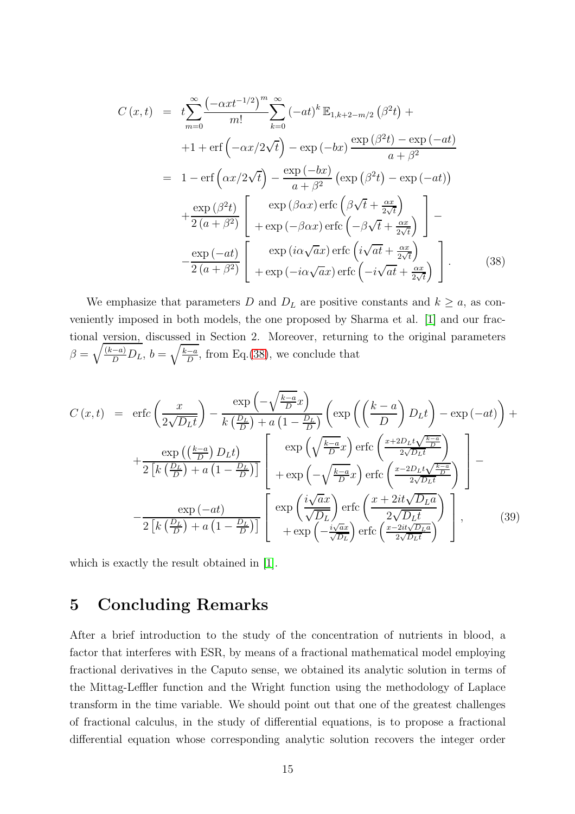<span id="page-14-0"></span>
$$
C(x,t) = t \sum_{m=0}^{\infty} \frac{(-\alpha x t^{-1/2})^m}{m!} \sum_{k=0}^{\infty} (-at)^k \mathbb{E}_{1,k+2-m/2} (\beta^2 t) +
$$
  
+1+ erf  $(-\alpha x/2\sqrt{t}) - \exp(-bx) \frac{\exp(\beta^2 t) - \exp(-at)}{a + \beta^2}$   
= 1- erf  $(\alpha x/2\sqrt{t}) - \frac{\exp(-bx)}{a + \beta^2} (\exp(\beta^2 t) - \exp(-at))$   
+  $\frac{\exp(\beta^2 t)}{2(a + \beta^2)} \left[ \frac{\exp(\beta \alpha x) \operatorname{erfc} (\beta \sqrt{t} + \frac{\alpha x}{2\sqrt{t}})}{+\exp(-\beta \alpha x) \operatorname{erfc} (-\beta \sqrt{t} + \frac{\alpha x}{2\sqrt{t}})} \right] -$   
 $\frac{\exp(-at)}{2(a + \beta^2)} \left[ \frac{\exp(i\alpha \sqrt{a}x) \operatorname{erfc} (i\sqrt{at} + \frac{\alpha x}{2\sqrt{t}})}{+\exp(-i\alpha \sqrt{a}x) \operatorname{erfc} (-i\sqrt{at} + \frac{\alpha x}{2\sqrt{t}})} \right].$  (38)

We emphasize that parameters D and  $D<sub>L</sub>$  are positive constants and  $k \ge a$ , as conveniently imposed in both models, the one proposed by Sharma et al. [\[1\]](#page-15-0) and our fractional version, discussed in Section 2. Moreover, returning to the original parameters  $\beta = \sqrt{\frac{(k-a)}{D}L}$ ,  $b = \sqrt{\frac{k-a}{D}}$ , from Eq.[\(38\)](#page-14-0), we conclude that

$$
C(x,t) = \operatorname{erfc}\left(\frac{x}{2\sqrt{D_L t}}\right) - \frac{\exp\left(-\sqrt{\frac{k-a}{D}}x\right)}{k\left(\frac{D_L}{D}\right) + a\left(1 - \frac{D_L}{D}\right)} \left(\exp\left(\left(\frac{k-a}{D}\right)D_L t\right) - \exp\left(-at\right)\right) + \frac{\exp\left(\left(\frac{k-a}{D}\right)D_L t\right)}{2\left[k\left(\frac{D_L}{D}\right) + a\left(1 - \frac{D_L}{D}\right)\right]} \left[\begin{array}{c} \exp\left(\sqrt{\frac{k-a}{D}}x\right) \operatorname{erfc}\left(\frac{x+2D_L t \sqrt{\frac{k-a}{D}}}{2\sqrt{D_L t}}\right) \\ + \exp\left(-\sqrt{\frac{k-a}{D}}x\right) \operatorname{erfc}\left(\frac{x-2D_L t \sqrt{\frac{k-a}{D}}}{2\sqrt{D_L t}}\right) \end{array}\right] - \frac{\exp\left(-at\right)}{2\left[k\left(\frac{D_L}{D}\right) + a\left(1 - \frac{D_L}{D}\right)\right]} \left[\begin{array}{c} \exp\left(\frac{i\sqrt{a}x}{\sqrt{D_L}}\right) \operatorname{erfc}\left(\frac{x+2it \sqrt{D_L a}}{2\sqrt{D_L t}}\right) \\ + \exp\left(-\frac{i\sqrt{a}x}{\sqrt{D_L}}\right) \operatorname{erfc}\left(\frac{x-2it \sqrt{D_L a}}{2\sqrt{D_L t}}\right) \end{array}\right],\tag{39}
$$

which is exactly the result obtained in [\[1\]](#page-15-0).

#### 5 Concluding Remarks

After a brief introduction to the study of the concentration of nutrients in blood, a factor that interferes with ESR, by means of a fractional mathematical model employing fractional derivatives in the Caputo sense, we obtained its analytic solution in terms of the Mittag-Leffler function and the Wright function using the methodology of Laplace transform in the time variable. We should point out that one of the greatest challenges of fractional calculus, in the study of differential equations, is to propose a fractional differential equation whose corresponding analytic solution recovers the integer order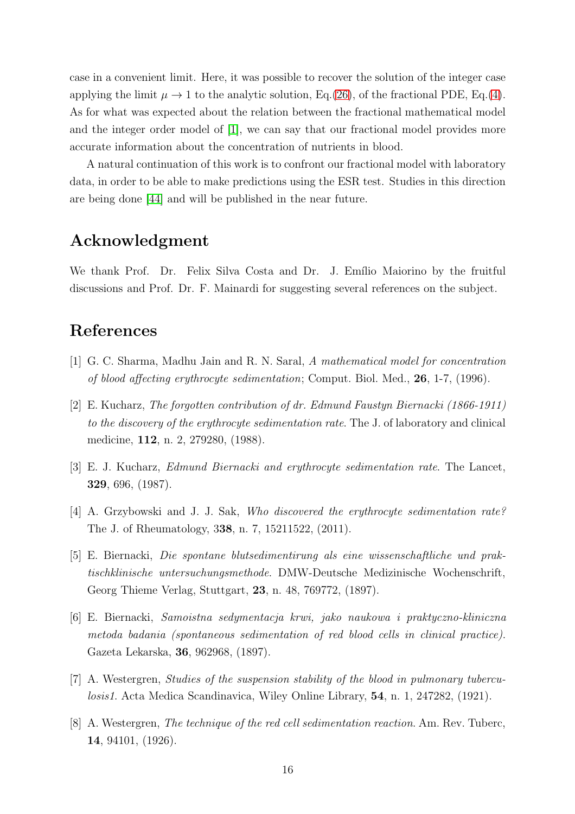case in a convenient limit. Here, it was possible to recover the solution of the integer case applying the limit  $\mu \to 1$  to the analytic solution, Eq.[\(26\)](#page-9-0), of the fractional PDE, Eq.[\(4\)](#page-4-1). As for what was expected about the relation between the fractional mathematical model and the integer order model of [\[1\]](#page-15-0), we can say that our fractional model provides more accurate information about the concentration of nutrients in blood.

A natural continuation of this work is to confront our fractional model with laboratory data, in order to be able to make predictions using the ESR test. Studies in this direction are being done [\[44\]](#page-18-8) and will be published in the near future.

#### Acknowledgment

We thank Prof. Dr. Felix Silva Costa and Dr. J. Emílio Maiorino by the fruitful discussions and Prof. Dr. F. Mainardi for suggesting several references on the subject.

### <span id="page-15-0"></span>References

- <span id="page-15-1"></span>[1] G. C. Sharma, Madhu Jain and R. N. Saral, A mathematical model for concentration of blood affecting erythrocyte sedimentation; Comput. Biol. Med., 26, 1-7, (1996).
- [2] E. Kucharz, The forgotten contribution of dr. Edmund Faustyn Biernacki (1866-1911) to the discovery of the erythrocyte sedimentation rate. The J. of laboratory and clinical medicine, 112, n. 2, 279280, (1988).
- <span id="page-15-3"></span><span id="page-15-2"></span>[3] E. J. Kucharz, Edmund Biernacki and erythrocyte sedimentation rate. The Lancet, 329, 696, (1987).
- <span id="page-15-4"></span>[4] A. Grzybowski and J. J. Sak, Who discovered the erythrocyte sedimentation rate? The J. of Rheumatology, 338, n. 7, 15211522, (2011).
- [5] E. Biernacki, Die spontane blutsedimentirung als eine wissenschaftliche und praktischklinische untersuchungsmethode. DMW-Deutsche Medizinische Wochenschrift, Georg Thieme Verlag, Stuttgart, 23, n. 48, 769772, (1897).
- <span id="page-15-5"></span>[6] E. Biernacki, Samoistna sedymentacja krwi, jako naukowa i praktyczno-kliniczna metoda badania (spontaneous sedimentation of red blood cells in clinical practice). Gazeta Lekarska, 36, 962968, (1897).
- <span id="page-15-7"></span><span id="page-15-6"></span>[7] A. Westergren, Studies of the suspension stability of the blood in pulmonary tuberculosis1. Acta Medica Scandinavica, Wiley Online Library, 54, n. 1, 247282, (1921).
- [8] A. Westergren, *The technique of the red cell sedimentation reaction*. Am. Rev. Tuberc, 14, 94101, (1926).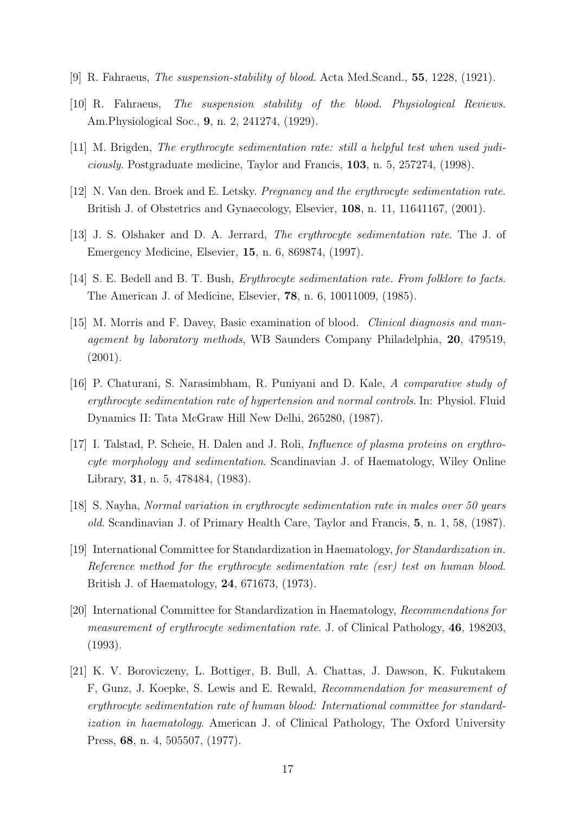- <span id="page-16-1"></span><span id="page-16-0"></span>[9] R. Fahraeus, The suspension-stability of blood. Acta Med.Scand., 55, 1228, (1921).
- <span id="page-16-2"></span>[10] R. Fahraeus, The suspension stability of the blood. Physiological Reviews. Am.Physiological Soc., 9, n. 2, 241274, (1929).
- <span id="page-16-3"></span>[11] M. Brigden, The erythrocyte sedimentation rate: still a helpful test when used judi*ciously.* Postgraduate medicine, Taylor and Francis,  $103$ , n. 5, 257274, (1998).
- <span id="page-16-4"></span>[12] N. Van den. Broek and E. Letsky. Pregnancy and the erythrocyte sedimentation rate. British J. of Obstetrics and Gynaecology, Elsevier, 108, n. 11, 11641167, (2001).
- <span id="page-16-5"></span>[13] J. S. Olshaker and D. A. Jerrard, The erythrocyte sedimentation rate. The J. of Emergency Medicine, Elsevier, 15, n. 6, 869874, (1997).
- <span id="page-16-6"></span>[14] S. E. Bedell and B. T. Bush, Erythrocyte sedimentation rate. From folklore to facts. The American J. of Medicine, Elsevier, 78, n. 6, 10011009, (1985).
- [15] M. Morris and F. Davey, Basic examination of blood. Clinical diagnosis and management by laboratory methods, WB Saunders Company Philadelphia, 20, 479519, (2001).
- <span id="page-16-7"></span>[16] P. Chaturani, S. Narasimbham, R. Puniyani and D. Kale, A comparative study of erythrocyte sedimentation rate of hypertension and normal controls. In: Physiol. Fluid Dynamics II: Tata McGraw Hill New Delhi, 265280, (1987).
- <span id="page-16-8"></span>[17] I. Talstad, P. Scheie, H. Dalen and J. Roli, Influence of plasma proteins on erythrocyte morphology and sedimentation. Scandinavian J. of Haematology, Wiley Online Library, 31, n. 5, 478484, (1983).
- <span id="page-16-10"></span><span id="page-16-9"></span>[18] S. Nayha, Normal variation in erythrocyte sedimentation rate in males over 50 years old. Scandinavian J. of Primary Health Care, Taylor and Francis, 5, n. 1, 58, (1987).
- [19] International Committee for Standardization in Haematology, for Standardization in. Reference method for the erythrocyte sedimentation rate (esr) test on human blood. British J. of Haematology, 24, 671673, (1973).
- <span id="page-16-11"></span>[20] International Committee for Standardization in Haematology, Recommendations for measurement of erythrocyte sedimentation rate. J. of Clinical Pathology, 46, 198203, (1993).
- <span id="page-16-12"></span>[21] K. V. Boroviczeny, L. Bottiger, B. Bull, A. Chattas, J. Dawson, K. Fukutakem F, Gunz, J. Koepke, S. Lewis and E. Rewald, Recommendation for measurement of erythrocyte sedimentation rate of human blood: International committee for standardization in haematology. American J. of Clinical Pathology, The Oxford University Press, 68, n. 4, 505507, (1977).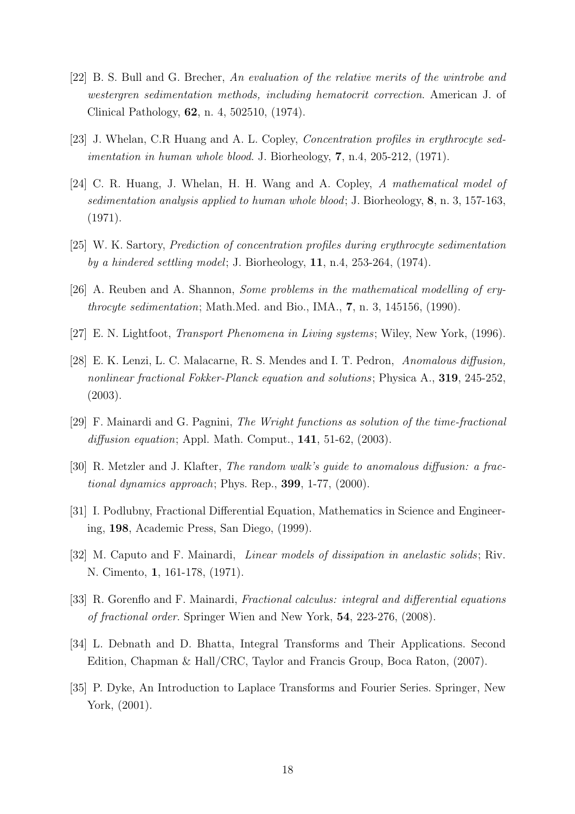- <span id="page-17-0"></span>[22] B. S. Bull and G. Brecher, An evaluation of the relative merits of the wintrobe and westergren sedimentation methods, including hematocrit correction. American J. of Clinical Pathology, 62, n. 4, 502510, (1974).
- <span id="page-17-2"></span><span id="page-17-1"></span>[23] J. Whelan, C.R Huang and A. L. Copley, Concentration profiles in erythrocyte sedimentation in human whole blood. J. Biorheology, 7, n.4, 205-212, (1971).
- [24] C. R. Huang, J. Whelan, H. H. Wang and A. Copley, A mathematical model of sedimentation analysis applied to human whole blood; J. Biorheology, 8, n. 3, 157-163, (1971).
- <span id="page-17-4"></span><span id="page-17-3"></span>[25] W. K. Sartory, Prediction of concentration profiles during erythrocyte sedimentation by a hindered settling model; J. Biorheology, 11, n.4, 253-264, (1974).
- <span id="page-17-5"></span>[26] A. Reuben and A. Shannon, Some problems in the mathematical modelling of erythrocyte sedimentation; Math.Med. and Bio., IMA.,  $7$ , n. 3, 145156, (1990).
- <span id="page-17-6"></span>[27] E. N. Lightfoot, Transport Phenomena in Living systems; Wiley, New York, (1996).
- [28] E. K. Lenzi, L. C. Malacarne, R. S. Mendes and I. T. Pedron, Anomalous diffusion, nonlinear fractional Fokker-Planck equation and solutions; Physica A., **319**, 245-252, (2003).
- <span id="page-17-8"></span><span id="page-17-7"></span>[29] F. Mainardi and G. Pagnini, The Wright functions as solution of the time-fractional diffusion equation; Appl. Math. Comput.,  $141$ ,  $51-62$ ,  $(2003)$ .
- <span id="page-17-9"></span>[30] R. Metzler and J. Klafter, The random walk's guide to anomalous diffusion: a fractional dynamics approach; Phys. Rep.,  $399$ , 1-77, (2000).
- <span id="page-17-10"></span>[31] I. Podlubny, Fractional Differential Equation, Mathematics in Science and Engineering, 198, Academic Press, San Diego, (1999).
- <span id="page-17-11"></span>[32] M. Caputo and F. Mainardi, *Linear models of dissipation in anelastic solids*; Riv. N. Cimento, 1, 161-178, (1971).
- <span id="page-17-12"></span>[33] R. Gorenflo and F. Mainardi, Fractional calculus: integral and differential equations of fractional order. Springer Wien and New York, 54, 223-276, (2008).
- <span id="page-17-13"></span>[34] L. Debnath and D. Bhatta, Integral Transforms and Their Applications. Second Edition, Chapman & Hall/CRC, Taylor and Francis Group, Boca Raton, (2007).
- [35] P. Dyke, An Introduction to Laplace Transforms and Fourier Series. Springer, New York, (2001).